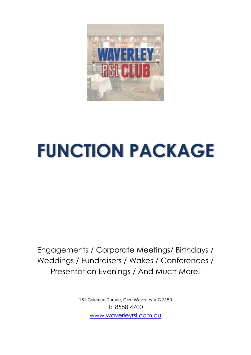

# **FUNCTION PACKAGE**

Engagements / Corporate Meetings/ Birthdays / Weddings / Fundraisers / Wakes / Conferences / Presentation Evenings / And Much More!

> 161 Coleman Parade, Glen Waverley VIC 3150 T: 8558 4700 [www.waverleyrsl.com.au](http://www.waverleyrsl.com.au/)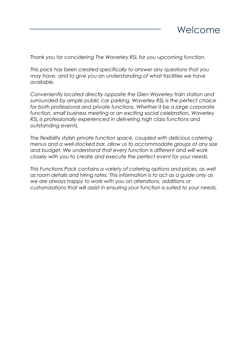

*Thank you for concidering The Waverley RSL for you upcoming function.*

*This pack has been created specifically to answer any questions that you may have, and to give you an understanding of what facilities we have available.*

*Conveniently located directly opposite the Glen Waverley train station and surrounded by ample public car parking, Waverley RSL is the perfect choice for both professional and private functions. Whether it be a large corporate function, small business meeting or an exciting social celebration, Waverley RSL is professionally experienced in delivering high class functions and outstanding events.* 

*The flexibility stylish private function space, coupled with delicious catering menus and a well-stocked bar, allow us to accommodate groups of any size and budget. We understand that every function is different and will work closely with you to create and execute the perfect event for your needs.* 

*This Functions Pack contains a variety of catering options and prices, as well as room details and hiring rates. This information is to act as a guide only as we are always happy to work with you on alterations, additions or customizations that will assist in ensuring your function is suited to your needs.*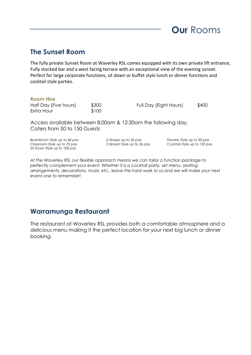

### **The Sunset Room**

The fully private Sunset Room at Waverley RSL comes equipped with its own private lift entrance, Fully stocked bar and a west facing terrace with an exceptional view of the evening sunset. Perfect for large corporate functions, sit down or buffet style lunch or dinner functions and cocktail style parties.

#### **Room Hire**

Half Day (Five hours)  $$300$  Full Day (Eight Hours)  $$400$ Extra Hour \$100

Access available between 8:00am & 12:30am the following day. Caters from 50 to 150 Guests

*Boardroom Style up to 60 pax U-Shape up to 36 pax Theatre Style up to 90 pax Classroom Style up to 70 pax Cabaret Style up to 36 pax Cocktail Style up to 150 pax Sit Down Style up to 100 pax*

*At the Waverley RSL our flexible approach means we can tailor a function package to perfectly complement your event. Whether it is a cocktail party, set menu, seating arrangements, decorations, music etc., leave the hard work to us and we will make your next event one to remember!* 

#### **Warramunga Restaurant**

The restaurant at Waverley RSL provides both a comfortable atmosphere and a delicious menu making it the perfect location for your next big lunch or dinner booking.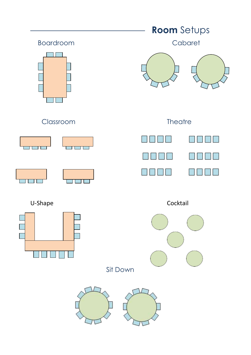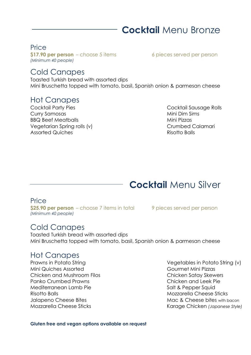# **Cocktail** Menu Bronze

#### Price

**\$17.90 per person** – choose 5 items 6 pieces served per person *(Minimum 40 people)*

### Cold Canapes

Toasted Turkish bread with assorted dips Mini Bruschetta topped with tomato, basil, Spanish onion & parmesan cheese

### Hot Canapes

Cocktail Party Pies Cocktail Sausage Rolls Curry Samosas **Mini Dim Sims** BBQ Beef Meatballs Mini Pizzas Vegetarian Spring rolls (v) Crumbed Calamari Assorted Quiches **Risotto Balls** 

## **Cocktail** Menu Silver

**Price \$25.90 per person** – choose 7 items in total 9 pieces served per person *(Minimum 40 people)*

### Cold Canapes

Toasted Turkish bread with assorted dips Mini Bruschetta topped with tomato, basil, Spanish onion & parmesan cheese

### Hot Canapes

Mini Quiches Assorted Gourmet Mini Pizzas Chicken and Mushroom Filos Chicken Satay Skewers Panko Crumbed Prawns Chicken and Leek Pie Mediterranean Lamb Pie Salt & Pepper Squid Risotto Balls **Mozzarella Cheese Sticks** 

Prawns in Potato String Vegetables in Potato String (v) Jalapeno Cheese Bites Mac & Cheese bites with bacon Mozzarella Cheese Sticks Karage Chicken *(Japanese Style)*

**Gluten free and vegan options available on request**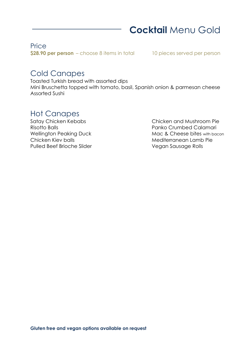# **Cocktail** Menu Gold

#### Price

**\$28.90 per person** – choose 8 items in total 10 pieces served per person

### Cold Canapes

Toasted Turkish bread with assorted dips Mini Bruschetta topped with tomato, basil, Spanish onion & parmesan cheese Assorted Sushi

### Hot Canapes

Pulled Beef Brioche Slider Vegan Sausage Rolls

Satay Chicken Kebabs Chicken and Mushroom Pie Risotto Balls Panko Crumbed Calamari Wellington Peaking Duck Mac & Cheese bites with bacon Chicken Kiev balls Mediterranean Lamb Pie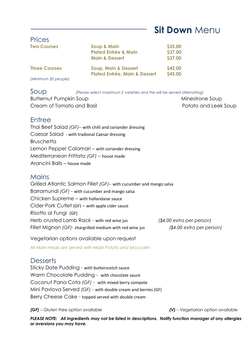# **Sit Down** Menu

| <b>Prices</b>           |                                          |                |
|-------------------------|------------------------------------------|----------------|
| <b>Two Courses</b>      | <b>Soup &amp; Main</b>                   | \$35.00        |
|                         | <b>Plated Entrée &amp; Main</b>          | \$37.00        |
|                         | <b>Main &amp; Dessert</b>                | \$37.00        |
| <b>Three Courses</b>    | Soup, Main & Dessert                     | <b>\$42.00</b> |
|                         | <b>Plated Entrée, Main &amp; Dessert</b> | <b>\$45.00</b> |
| $M$ inimum $50$ noonlot |                                          |                |

*(Minimum 50 people)*

Soup *(Please select maximum 2 varieties and this will be served alternating)* Butternut Pumpkin Soup Minestrone Soup Cream of Tomato and Basil **Potato and Leek Soup** 

### Entree

Thai Beef Salad *(GF)–* with chilli and coriander dressing Caesar Salad - with tradional Caesar dressing **Bruschetta** Lemon Pepper Calamari – with coriander dressing Mediterranean Frittata *(GF)* – house made Arancini Balls – house made

#### **Mains**

Grilled Atlantic Salmon Fillet *(GF)–* with cucumber and mango salsa Barramundi *(GF)* - with cucumber and mango salsa Chicken Supreme – with hollandaise sauce Cider Pork Cutlet (GF) – with apple cider sauce Risotto al Fungi (GF) Herb crusted Lamb Rack - with red wine jus *(\$4.00 extra per person)* Fillet Mignon *(GF)-* chargrilled medium with red wine jus *(\$4.00 extra per person)*

Vegetarian options available upon request

*All Main meals are served with Mash Potato and broccolini*

### **Desserts**

Sticky Date Pudding - with butterscotch sauce Warm Chocolate Pudding - with chocolate sauce Coconut Pana Cota *(GF)* - with mixed berry compote Mini Pavlova Served *(GF)* - with double cream and berries (GF) Berry Cheese Cake - topped served with double cream

*(GF)* – Gluten Free option available *(V)* – Vegetarian option available

*PLEASE NOTE: All ingredients may not be listed in descriptions. Notify function manager of any allergies or aversions you may have.*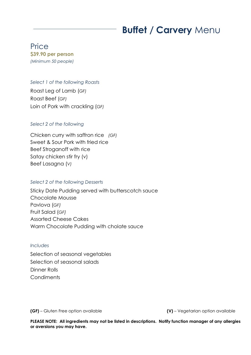# **Buffet / Carvery** Menu

#### Price **\$39.90 per person** *(Minimum 50 people)*

#### *Select 1 of the following Roasts*

Roast Leg of Lamb (*GF)* Roast Beef (*GF)* Loin of Pork with crackling (*GF)*

#### *Select 2 of the following*

Chicken curry with saffron rice *(GF)* Sweet & Sour Pork with fried rice Beef Stroganoff with rice Satay chicken stir fry (v) Beef Lasagna (*V)*

#### *Select 2 of the following Desserts*

Sticky Date Pudding served with butterscotch sauce Chocolate Mousse Pavlova (*GF)* Fruit Salad (*GF)* Assorted Cheese Cakes Warm Chocolate Pudding with cholate sauce

#### *Includes*

Selection of seasonal vegetables Selection of seasonal salads Dinner Rolls **Condiments** 

**(GF)** – Gluten Free option available **(V)** – Vegetarian option available

**PLEASE NOTE: All ingredients may not be listed in descriptions. Notify function manager of any allergies or aversions you may have.**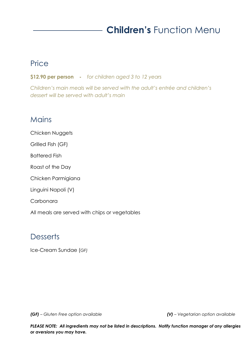# **Children's** Function Menu

### **Price**

**\$12.90 per person -** *for children aged 3 to 12 years*

*Children's main meals will be served with the adult's entrée and children's dessert will be served with adult's main*

### **Mains**

Chicken Nuggets Grilled Fish (GF) Battered Fish Roast of the Day Chicken Parmigiana Linguini Napoli (V) Carbonara

All meals are served with chips or vegetables

### **Desserts**

Ice-Cream Sundae (*GF)*

*(GF) – Gluten Free option available (V) – Vegetarian option available*

*PLEASE NOTE: All ingredients may not be listed in descriptions. Notify function manager of any allergies or aversions you may have.*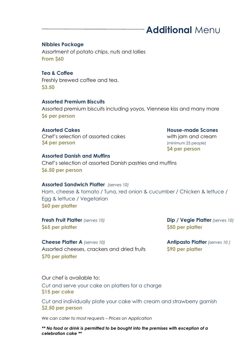# **Additional** Menu

#### **Nibbles Package**

Assortment of potato chips, nuts and lollies **From \$60**

**Tea & Coffee** Freshly brewed coffee and tea. **\$3.50**

#### **Assorted Premium Biscuits**

Assorted premium biscuits including yoyos, Viennese kiss and many more **\$6 per person** 

**Assorted Cakes House-made Scones**  Chef's selection of assorted cakes with jam and cream **\$4 per person** (minimum 25 people)

**\$4 per person**

#### **Assorted Danish and Muffins**

Chef's selection of assorted Danish pastries and muffins **\$6.50 per person**

#### **Assorted Sandwich Platter** *(serves 10)*

Ham, cheese & tomato / Tuna, red onion & cucumber / Chicken & lettuce / Egg & lettuce / Vegetarian **\$60 per platter**

**\$65 per platter \$50 per platter**

**Fresh Fruit Platter** *(serves 10)* **Dip / Vegie Platter** *(serves 10)*

**Cheese Platter A** *(serves 10)* **Antipasto Platter** *(serves 10 )* Assorted cheeses, crackers and dried fruits **\$90 per platter \$70 per platter**

Our chef is available to: Cut and serve your cake on platters for a charge **\$15 per cake**

Cut and individually plate your cake with cream and strawberry garnish **\$2.50 per person**

*We can cater to most requests – Prices on Application*

*\*\* No food or drink is permitted to be bought into the premises with exception of a celebration cake \*\**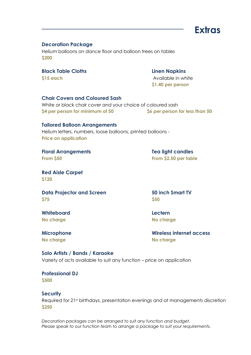

#### **Decoration Package**

Helium balloons on dance floor and balloon trees on tables **\$200**

#### **Black Table Cloths Linen Napkins**

**\$15 each** Available in white **\$1.40 per person**

#### **Chair Covers and Coloured Sash**

White or black chair cover and your choice of coloured sash **\$4 per person for minimum of 50 \$6 per person for less than 50**

#### **Tailored Balloon Arrangements**

Helium letters, numbers, loose balloons, printed balloons - **Price on application**

**Floral Arrangements Tea light candles From \$50 From \$2.50 per table**

**Red Aisle Carpet \$120**

**Data Projector and Screen 50 inch Smart TV \$75 \$50**

**Whiteboard Lectern No charge No charge**

**No charge No charge**

**Microphone Wireless internet access**

#### **Solo Artists / Bands / Karaoke**

Variety of acts available to suit any function – price on application

### **Professional DJ**

**\$500**

#### **Security**

Required for 21st birthdays, presentation evenings and at managements discretion **\$250**

*Decoration packages can be arranged to suit any function and budget. Please speak to our function team to arrange a package to suit your requirements.*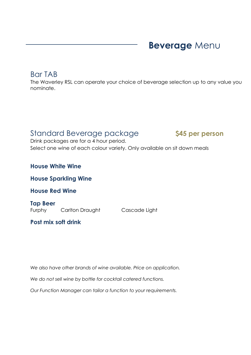# **Beverage** Menu

### Bar TAB

The Waverley RSL can operate your choice of beverage selection up to any value you nominate.

### Standard Beverage package **\$45 per person**

Drink packages are for a 4 hour period. Select one wine of each colour variety. Only available on sit down meals

#### **House White Wine**

**House Sparkling Wine**

**House Red Wine**

**Tap Beer** Furphy Carlton Draught Cascade Light

#### **Post mix soft drink**

*We also have other brands of wine available. Price on application.*

*We do not sell wine by bottle for cocktail catered functions.*

*Our Function Manager can tailor a function to your requirements.*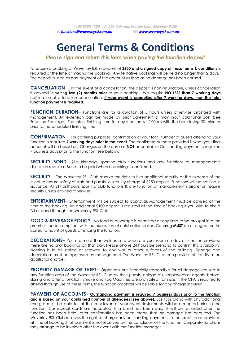# **General Terms & Conditions**

*Please sign and return this form when paying the function deposit*

To secure a booking at Waverley RSL a deposit of **\$300 and a signed copy of these terms & conditions** is required at the time of making the booking. Any tentative bookings will be held no longer than 2 days. The deposit is used as part payment of the account as long as no damage has been caused.

**CANCELLATION** –. In the event of a cancellation, the deposit is non-refundable, unless cancellation is advised **in writing two (2) months prior** to your booking. We require **NO LESS than 7 working days** notification of a function cancellation. **If your event is cancelled after 7 working days, then the total function payment is required.** 

**FUNCTION DURATION–** Functions are for a duration of 5 hours unless otherwise arranged with management. An extension can be made by prior agreement & may incur additional cost (see Function Package). The latest finishing time for any function is 12.00am with the bar closing 30 minutes prior to the scheduled finishing time.

**CONFIRMATION** – For catering purposes, confirmation of your total number of guests attending your function is required **7 working days prior to the event.** The confirmed number provided is what your final account will be based on. Changes on the day are **NOT** acceptable. Outstanding payment is required 7 business days prior to the function (see below).

**SECURITY BOND**– 21st Birthdays, sporting club functions and any functions at management's discretion require a Bond to be paid when a booking is confirmed.

**SECURITY** – The Waverley RSL Club reserve the right to hire additional security at the expense of the client to ensure safety of staff and guests. A security charge of \$250 applies. Functions will be notified in advance. All 21st birthdays, sporting club functions & any function at management's discretion require security unless advised otherwise.

**ENTERTAINMENT**– Entertainment will be subject to approval. Management must be advised at the time of the booking. An additional **\$100** deposit is required at the time of booking if you wish to hire a DJ or band through the Waverley RSL Club.

**FOOD & BEVERAGE POLICY**- No food or beverage is permitted at any time to be brought into the premises for consumption, with the exception of celebration cakes. Catering **MUST** be arranged for the correct amount of guests attending the function.

**DECORATIONS**– You are more than welcome to decorate your room on day of function provided there are no prior bookings on that day. Please phone 24 hours beforehand to confirm this availability. Nothing is to be nailed or screwed to any wall or other surfaces of the building. Signage and decorations must be approved by management. The Waverley RSL Club can provide this facility at an additional charge.

**PROPERTY DAMAGE OR THEFT-** Organizers are financially responsible for all damage caused to any function area of the Waverley RSL Club by their guests, delegate's, employees or agents, before, during and after a function. Smoke and Fog Machines are prohibited from use. If the CFA is required to attend through use of these items, the function organizer will be liable for any charge incurred.

**PAYMENT OF ACCOUNTS**– **Outstanding payment is required 7 business days prior to the function and is based on your confirmed number of attendees (see above).** Bar tabs along with any additional charges must be paid for at the conclusion of your event. Instalments will be accepted prior to the function. Cash/credit cards are accepted. If a bond has been paid, it will be refunded after the function has been held, after confirmation has been made that no damage has occurred. The Waverley RSL Club reserves the right to charge any outstanding payments to the credit card provided at time of booking if full payment is not received by the conclusion of the function. Corporate functions may arrange to be invoiced after the event with the function manager.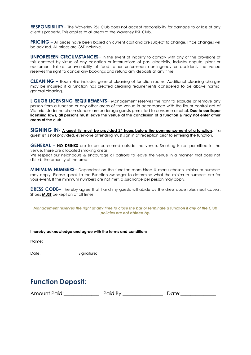**RESPONSIBILITY**– The Waverley RSL Club does not accept responsibility for damage to or loss of any client's property. This applies to all areas of the Waverley RSL Club.

**PRICING** – All prices have been based on current cost and are subject to change. Price changes will be advised. All prices are GST inclusive.

**UNFORESEEN CIRCUMSTANCES**– In the event of inability to comply with any of the provisions of this contract by virtue of any cessation or interruptions of gas, electricity, industry dispute, plant or equipment failure, unavailability of food, other unforeseen contingency or accident, the venue reserves the right to cancel any bookings and refund any deposits at any time.

**CLEANING** – Room Hire includes general cleaning of function rooms. Additional cleaning charges may be incurred if a function has created cleaning requirements considered to be above normal general cleaning.

**LIQUOR LICENSING REQUIREMENTS**– Management reserves the right to exclude or remove any person from a function or any other areas of the venue in accordance with the liquor control act of Victoria. Under no circumstances are underage guests permitted to consume alcohol. **Due to our liquor licensing laws, all persons must leave the venue at the conclusion of a function & may not enter other areas of the club.** 

**SIGNING IN**- **A guest list must be provided 24 hours before the commencement of a function**. If a guest list is not provided, everyone attending must sign in at reception prior to entering the function.

**GENERAL** – **NO DRINKS** are to be consumed outside the venue. Smoking is not permitted in the venue, there are allocated smoking areas.

We respect our neighbours & encourage all patrons to leave the venue in a manner that does not disturb the amenity of the area.

**MINIMUM NUMBERS**– Dependant on the function room hired & menu chosen, minimum numbers may apply. Please speak to the Function Manager to determine what the minimum numbers are for your event. If the minimum numbers are not met, a surcharge per person may apply.

**DRESS CODE**– I hereby agree that I and my guests will abide by the dress code rules neat causal. Shoes **MUST** be kept on at all times.

*Management reserves the right at any time to close the bar or terminate a function if any of the Club policies are not abided by.*

**I hereby acknowledge and agree with the terms and conditions.** Name: Date: \_\_\_\_\_\_\_\_\_\_\_\_\_\_\_\_\_\_\_ Signature: \_\_\_\_\_\_\_\_\_\_\_\_\_\_\_\_\_\_\_\_\_\_\_\_\_\_\_\_\_\_\_\_\_\_\_\_\_\_\_\_\_\_\_\_\_

### **Function Deposit:**

| Amount Paid: | Paid By: | Date: |
|--------------|----------|-------|
|--------------|----------|-------|